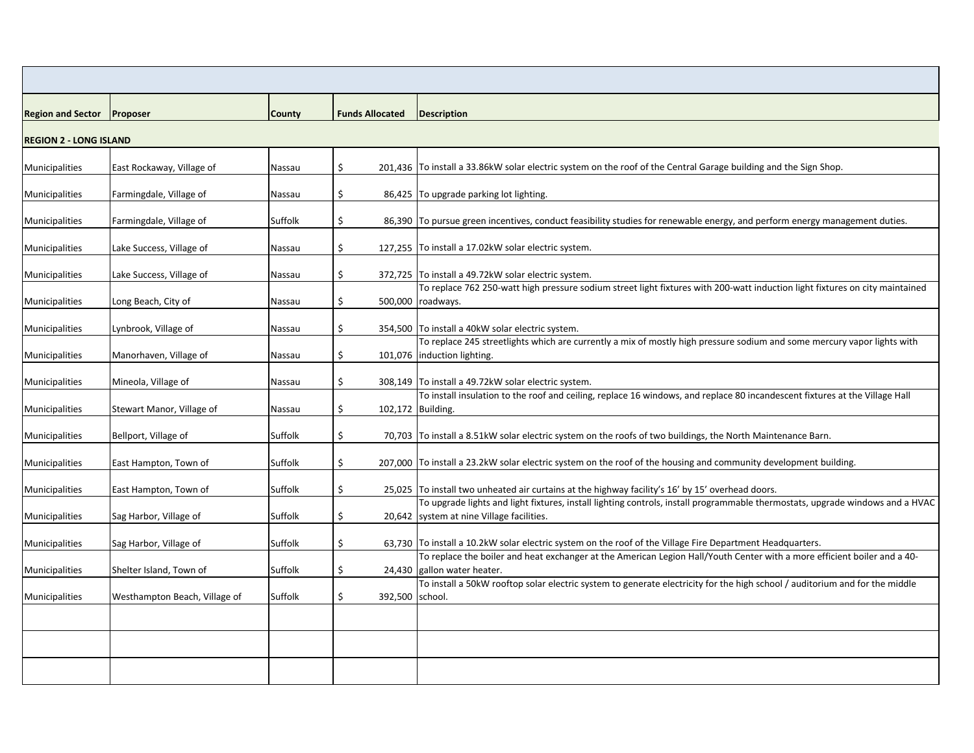| <b>Region and Sector Proposer</b> |                               | <b>County</b>  | <b>Funds Allocated</b>  | <b>Description</b>                                                                                                                                                           |
|-----------------------------------|-------------------------------|----------------|-------------------------|------------------------------------------------------------------------------------------------------------------------------------------------------------------------------|
|                                   |                               |                |                         |                                                                                                                                                                              |
| <b>REGION 2 - LONG ISLAND</b>     |                               |                |                         |                                                                                                                                                                              |
| Municipalities                    | East Rockaway, Village of     | Nassau         | \$                      | 201,436   To install a 33.86kW solar electric system on the roof of the Central Garage building and the Sign Shop.                                                           |
| Municipalities                    | Farmingdale, Village of       | Nassau         | \$                      | 86,425 To upgrade parking lot lighting.                                                                                                                                      |
| Municipalities                    | Farmingdale, Village of       | Suffolk        | \$                      | 86,390 To pursue green incentives, conduct feasibility studies for renewable energy, and perform energy management duties.                                                   |
| Municipalities                    | Lake Success, Village of      | Nassau         | \$                      | 127,255 To install a 17.02kW solar electric system.                                                                                                                          |
| Municipalities                    | Lake Success, Village of      | Nassau         | \$                      | 372,725 To install a 49.72kW solar electric system.                                                                                                                          |
|                                   |                               |                |                         | To replace 762 250-watt high pressure sodium street light fixtures with 200-watt induction light fixtures on city maintained                                                 |
| Municipalities                    | Long Beach, City of           | <b>Nassau</b>  | \$                      | 500,000 roadways.                                                                                                                                                            |
| Municipalities                    | Lynbrook, Village of          | <b>Nassau</b>  | \$                      | 354,500   To install a 40kW solar electric system.                                                                                                                           |
| Municipalities                    | Manorhaven, Village of        | <b>Nassau</b>  | \$                      | To replace 245 streetlights which are currently a mix of mostly high pressure sodium and some mercury vapor lights with<br>101,076  induction lighting.                      |
| Municipalities                    | Mineola, Village of           | Nassau         | \$                      | 308,149 To install a 49.72kW solar electric system.                                                                                                                          |
| Municipalities                    | Stewart Manor, Village of     | <b>Nassau</b>  | \$<br>102,172 Building. | To install insulation to the roof and ceiling, replace 16 windows, and replace 80 incandescent fixtures at the Village Hall                                                  |
|                                   |                               |                |                         |                                                                                                                                                                              |
| Municipalities                    | Bellport, Village of          | Suffolk        | \$                      | 70,703 To install a 8.51kW solar electric system on the roofs of two buildings, the North Maintenance Barn.                                                                  |
| Municipalities                    | East Hampton, Town of         | <b>Suffolk</b> |                         | 207,000 To install a 23.2kW solar electric system on the roof of the housing and community development building.                                                             |
| Municipalities                    | East Hampton, Town of         | Suffolk        | \$.                     | 25,025 To install two unheated air curtains at the highway facility's 16' by 15' overhead doors.                                                                             |
| Municipalities                    | Sag Harbor, Village of        | Suffolk        | \$                      | To upgrade lights and light fixtures, install lighting controls, install programmable thermostats, upgrade windows and a HVAC<br>20,642   system at nine Village facilities. |
| Municipalities                    | Sag Harbor, Village of        | Suffolk        |                         | 63,730 To install a 10.2kW solar electric system on the roof of the Village Fire Department Headquarters.                                                                    |
|                                   |                               |                |                         | To replace the boiler and heat exchanger at the American Legion Hall/Youth Center with a more efficient boiler and a 40-                                                     |
| Municipalities                    | Shelter Island, Town of       | Suffolk        | \$                      | 24,430 gallon water heater.                                                                                                                                                  |
| Municipalities                    | Westhampton Beach, Village of | Suffolk        | 392,500 school.         | To install a 50kW rooftop solar electric system to generate electricity for the high school / auditorium and for the middle                                                  |
|                                   |                               |                |                         |                                                                                                                                                                              |
|                                   |                               |                |                         |                                                                                                                                                                              |
|                                   |                               |                |                         |                                                                                                                                                                              |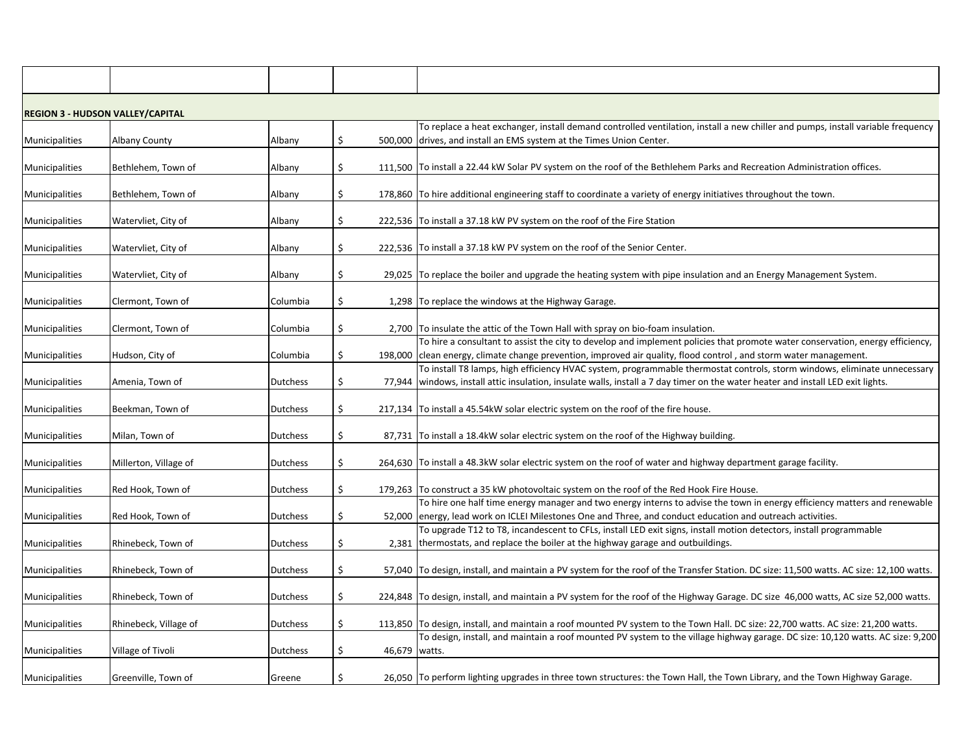|                | <b>REGION 3 - HUDSON VALLEY/CAPITAL</b> |                 |    |                 |                                                                                                                                         |
|----------------|-----------------------------------------|-----------------|----|-----------------|-----------------------------------------------------------------------------------------------------------------------------------------|
|                |                                         |                 |    |                 | To replace a heat exchanger, install demand controlled ventilation, install a new chiller and pumps, install variable frequency         |
| Municipalities | <b>Albany County</b>                    | Albany          |    | 500,000         | drives, and install an EMS system at the Times Union Center.                                                                            |
|                |                                         |                 |    |                 |                                                                                                                                         |
| Municipalities | Bethlehem, Town of                      | Albany          | \$ |                 | 111,500 To install a 22.44 kW Solar PV system on the roof of the Bethlehem Parks and Recreation Administration offices.                 |
|                |                                         |                 |    |                 |                                                                                                                                         |
| Municipalities | Bethlehem, Town of                      | Albany          | S  |                 | 178,860 To hire additional engineering staff to coordinate a variety of energy initiatives throughout the town.                         |
| Municipalities | Watervliet, City of                     | Albany          | \$ |                 | 222,536 To install a 37.18 kW PV system on the roof of the Fire Station                                                                 |
|                |                                         |                 |    |                 |                                                                                                                                         |
| Municipalities | Watervliet, City of                     | Albany          | \$ |                 | 222,536 To install a 37.18 kW PV system on the roof of the Senior Center.                                                               |
|                |                                         |                 |    |                 |                                                                                                                                         |
| Municipalities | Watervliet, City of                     | Albany          | \$ |                 | 29,025 To replace the boiler and upgrade the heating system with pipe insulation and an Energy Management System.                       |
|                |                                         |                 |    |                 |                                                                                                                                         |
| Municipalities | Clermont, Town of                       | Columbia        | S  |                 | 1,298 To replace the windows at the Highway Garage.                                                                                     |
|                |                                         |                 |    |                 |                                                                                                                                         |
| Municipalities | Clermont, Town of                       | Columbia        | \$ |                 | 2,700 To insulate the attic of the Town Hall with spray on bio-foam insulation.                                                         |
|                |                                         |                 |    |                 | To hire a consultant to assist the city to develop and implement policies that promote water conservation, energy efficiency,           |
| Municipalities | Hudson, City of                         | Columbia        |    | 198,000         | clean energy, climate change prevention, improved air quality, flood control, and storm water management.                               |
|                |                                         |                 |    |                 | To install T8 lamps, high efficiency HVAC system, programmable thermostat controls, storm windows, eliminate unnecessary                |
| Municipalities | Amenia, Town of                         | <b>Dutchess</b> |    |                 | 77,944   windows, install attic insulation, insulate walls, install a 7 day timer on the water heater and install LED exit lights.      |
|                |                                         |                 |    |                 |                                                                                                                                         |
| Municipalities | Beekman, Town of                        | <b>Dutchess</b> | \$ |                 | 217,134 To install a 45.54kW solar electric system on the roof of the fire house.                                                       |
| Municipalities | Milan, Town of                          | <b>Dutchess</b> |    |                 | 87,731 To install a 18.4kW solar electric system on the roof of the Highway building.                                                   |
|                |                                         |                 |    |                 |                                                                                                                                         |
| Municipalities | Millerton, Village of                   | <b>Dutchess</b> |    |                 | 264,630 To install a 48.3kW solar electric system on the roof of water and highway department garage facility.                          |
|                |                                         |                 |    |                 |                                                                                                                                         |
| Municipalities | Red Hook, Town of                       | <b>Dutchess</b> |    |                 | 179,263 To construct a 35 kW photovoltaic system on the roof of the Red Hook Fire House.                                                |
|                |                                         |                 |    |                 | To hire one half time energy manager and two energy interns to advise the town in energy efficiency matters and renewable               |
| Municipalities | Red Hook, Town of                       | <b>Dutchess</b> | \$ |                 | 52,000 energy, lead work on ICLEI Milestones One and Three, and conduct education and outreach activities.                              |
|                |                                         |                 |    |                 | To upgrade T12 to T8, incandescent to CFLs, install LED exit signs, install motion detectors, install programmable                      |
| Municipalities | Rhinebeck, Town of                      | <b>Dutchess</b> |    |                 | 2,381 thermostats, and replace the boiler at the highway garage and outbuildings.                                                       |
|                |                                         |                 |    |                 |                                                                                                                                         |
| Municipalities | Rhinebeck, Town of                      | <b>Dutchess</b> | \$ |                 | 57,040 To design, install, and maintain a PV system for the roof of the Transfer Station. DC size: 11,500 watts. AC size: 12,100 watts. |
|                |                                         |                 |    |                 |                                                                                                                                         |
| Municipalities | Rhinebeck, Town of                      | <b>Dutchess</b> |    |                 | 224,848  To design, install, and maintain a PV system for the roof of the Highway Garage. DC size 46,000 watts, AC size 52,000 watts.   |
|                |                                         |                 |    |                 |                                                                                                                                         |
| Municipalities | Rhinebeck, Village of                   | <b>Dutchess</b> | S  |                 | 113,850 To design, install, and maintain a roof mounted PV system to the Town Hall. DC size: 22,700 watts. AC size: 21,200 watts.       |
|                |                                         |                 |    |                 | To design, install, and maintain a roof mounted PV system to the village highway garage. DC size: 10,120 watts. AC size: 9,200          |
| Municipalities | Village of Tivoli                       | <b>Dutchess</b> |    | 46,679   watts. |                                                                                                                                         |
| Municipalities | Greenville, Town of                     | Greene          |    |                 | 26,050 To perform lighting upgrades in three town structures: the Town Hall, the Town Library, and the Town Highway Garage.             |
|                |                                         |                 |    |                 |                                                                                                                                         |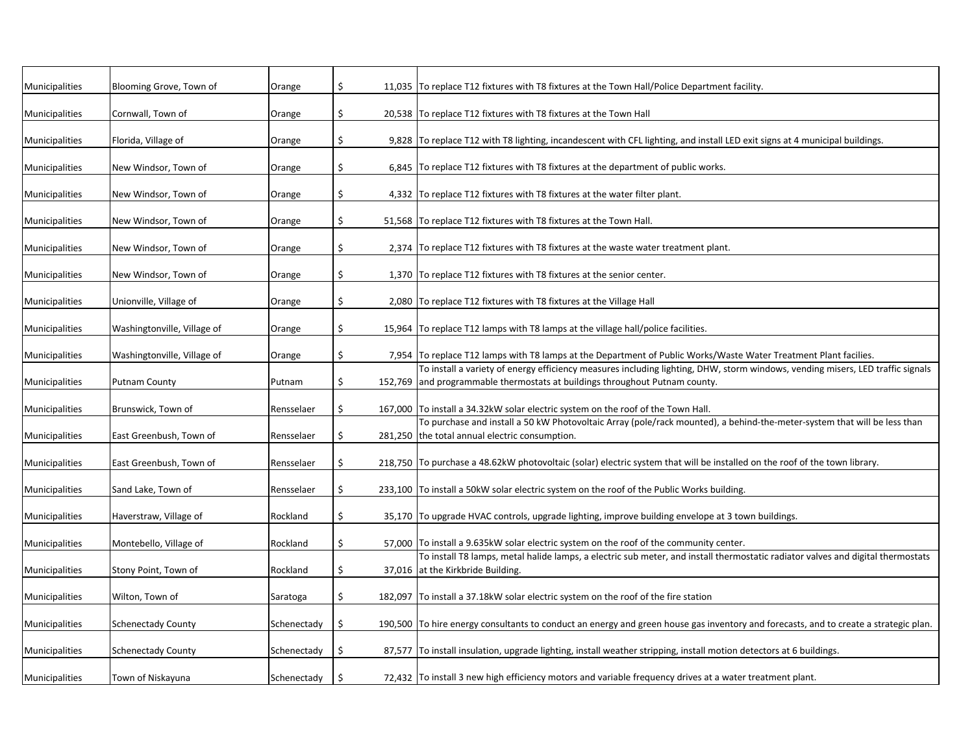| Municipalities | Blooming Grove, Town of     | Orange      | \$      | 11,035 To replace T12 fixtures with T8 fixtures at the Town Hall/Police Department facility.                                                                                                                  |
|----------------|-----------------------------|-------------|---------|---------------------------------------------------------------------------------------------------------------------------------------------------------------------------------------------------------------|
| Municipalities | Cornwall, Town of           | Orange      | \$      | 20,538 To replace T12 fixtures with T8 fixtures at the Town Hall                                                                                                                                              |
| Municipalities | Florida, Village of         | Orange      | \$      | 9,828 To replace T12 with T8 lighting, incandescent with CFL lighting, and install LED exit signs at 4 municipal buildings.                                                                                   |
| Municipalities | New Windsor, Town of        | Orange      | \$      | 6,845 To replace T12 fixtures with T8 fixtures at the department of public works.                                                                                                                             |
| Municipalities | New Windsor, Town of        | Orange      | \$      | 4,332 To replace T12 fixtures with T8 fixtures at the water filter plant.                                                                                                                                     |
| Municipalities | New Windsor, Town of        | Orange      | \$      | 51,568 To replace T12 fixtures with T8 fixtures at the Town Hall.                                                                                                                                             |
| Municipalities | New Windsor, Town of        | Orange      | \$      | 2,374 To replace T12 fixtures with T8 fixtures at the waste water treatment plant.                                                                                                                            |
| Municipalities | New Windsor, Town of        | Orange      | \$      | 1,370 To replace T12 fixtures with T8 fixtures at the senior center.                                                                                                                                          |
| Municipalities | Unionville, Village of      | Orange      | \$      | 2,080 To replace T12 fixtures with T8 fixtures at the Village Hall                                                                                                                                            |
| Municipalities | Washingtonville, Village of | Orange      | \$      | 15,964 To replace T12 lamps with T8 lamps at the village hall/police facilities.                                                                                                                              |
| Municipalities | Washingtonville, Village of | Orange      | \$      | 7,954 To replace T12 lamps with T8 lamps at the Department of Public Works/Waste Water Treatment Plant facilies.                                                                                              |
| Municipalities | <b>Putnam County</b>        | Putnam      | \$      | To install a variety of energy efficiency measures including lighting, DHW, storm windows, vending misers, LED traffic signals<br>152,769 and programmable thermostats at buildings throughout Putnam county. |
|                |                             |             |         | 167,000 To install a 34.32kW solar electric system on the roof of the Town Hall.                                                                                                                              |
| Municipalities | Brunswick, Town of          | Rensselaer  | \$      | To purchase and install a 50 kW Photovoltaic Array (pole/rack mounted), a behind-the-meter-system that will be less than                                                                                      |
| Municipalities | East Greenbush, Town of     | Rensselaer  | \$      | 281,250 the total annual electric consumption.                                                                                                                                                                |
| Municipalities | East Greenbush, Town of     | Rensselaer  | \$      | 218,750 To purchase a 48.62kW photovoltaic (solar) electric system that will be installed on the roof of the town library.                                                                                    |
| Municipalities | Sand Lake, Town of          | Rensselaer  | \$      | 233,100 To install a 50kW solar electric system on the roof of the Public Works building.                                                                                                                     |
| Municipalities | Haverstraw, Village of      | Rockland    | \$      | 35,170 To upgrade HVAC controls, upgrade lighting, improve building envelope at 3 town buildings.                                                                                                             |
| Municipalities | Montebello, Village of      | Rockland    | \$      | 57,000 To install a 9.635kW solar electric system on the roof of the community center.                                                                                                                        |
| Municipalities | Stony Point, Town of        | Rockland    | \$      | To install T8 lamps, metal halide lamps, a electric sub meter, and install thermostatic radiator valves and digital thermostats<br>37,016 at the Kirkbride Building.                                          |
| Municipalities | Wilton, Town of             | Saratoga    | \$      | 182,097 To install a 37.18kW solar electric system on the roof of the fire station                                                                                                                            |
| Municipalities | <b>Schenectady County</b>   | Schenectady | \$      | 190,500 To hire energy consultants to conduct an energy and green house gas inventory and forecasts, and to create a strategic plan.                                                                          |
| Municipalities | <b>Schenectady County</b>   | Schenectady | \$      | 87,577 To install insulation, upgrade lighting, install weather stripping, install motion detectors at 6 buildings.                                                                                           |
| Municipalities | Town of Niskayuna           | Schenectady | $\zeta$ | 72,432 To install 3 new high efficiency motors and variable frequency drives at a water treatment plant.                                                                                                      |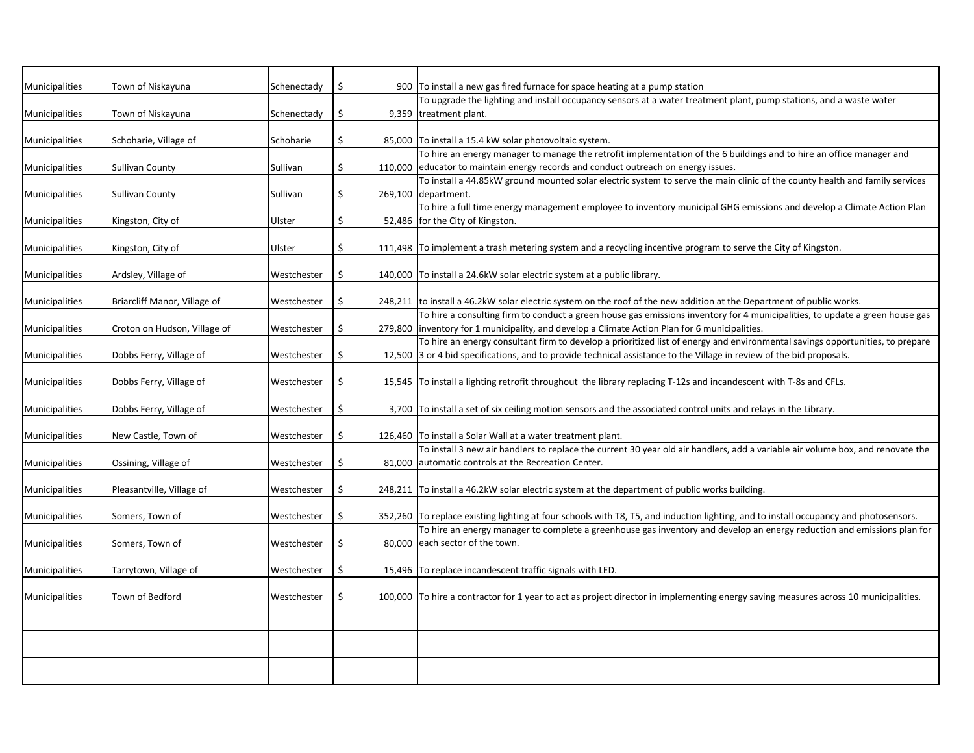| Municipalities | Town of Niskayuna            | Schenectady | S.     | 900 To install a new gas fired furnace for space heating at a pump station                                                           |
|----------------|------------------------------|-------------|--------|--------------------------------------------------------------------------------------------------------------------------------------|
|                |                              |             |        | To upgrade the lighting and install occupancy sensors at a water treatment plant, pump stations, and a waste water                   |
| Municipalities | Town of Niskayuna            | Schenectady | \$     | 9,359 treatment plant.                                                                                                               |
| Municipalities | Schoharie, Village of        | Schoharie   | \$     | 85,000 To install a 15.4 kW solar photovoltaic system.                                                                               |
|                |                              |             |        | To hire an energy manager to manage the retrofit implementation of the 6 buildings and to hire an office manager and                 |
| Municipalities | Sullivan County              | Sullivan    | \$     | 110,000 educator to maintain energy records and conduct outreach on energy issues.                                                   |
|                |                              |             |        | To install a 44.85kW ground mounted solar electric system to serve the main clinic of the county health and family services          |
| Municipalities | <b>Sullivan County</b>       | Sullivan    | \$     | 269,100 department.                                                                                                                  |
|                |                              |             |        | To hire a full time energy management employee to inventory municipal GHG emissions and develop a Climate Action Plan                |
| Municipalities | Kingston, City of            | Ulster      |        | 52,486   for the City of Kingston.                                                                                                   |
|                |                              |             |        |                                                                                                                                      |
| Municipalities | Kingston, City of            | Ulster      |        | 111,498 To implement a trash metering system and a recycling incentive program to serve the City of Kingston.                        |
|                |                              |             |        |                                                                                                                                      |
| Municipalities | Ardsley, Village of          | Westchester | \$     | 140,000 To install a 24.6kW solar electric system at a public library.                                                               |
|                |                              |             |        |                                                                                                                                      |
| Municipalities | Briarcliff Manor, Village of | Westchester | \$     | 248,211 to install a 46.2kW solar electric system on the roof of the new addition at the Department of public works.                 |
|                |                              |             |        | To hire a consulting firm to conduct a green house gas emissions inventory for 4 municipalities, to update a green house gas         |
| Municipalities | Croton on Hudson, Village of | Westchester | \$     | 279,800 inventory for 1 municipality, and develop a Climate Action Plan for 6 municipalities.                                        |
|                |                              |             |        | To hire an energy consultant firm to develop a prioritized list of energy and environmental savings opportunities, to prepare        |
| Municipalities | Dobbs Ferry, Village of      | Westchester |        | 12,500 3 or 4 bid specifications, and to provide technical assistance to the Village in review of the bid proposals.                 |
|                |                              |             |        |                                                                                                                                      |
| Municipalities | Dobbs Ferry, Village of      | Westchester |        | 15,545  To install a lighting retrofit throughout the library replacing T-12s and incandescent with T-8s and CFLs.                   |
|                |                              |             |        |                                                                                                                                      |
| Municipalities | Dobbs Ferry, Village of      | Westchester |        | 3,700  To install a set of six ceiling motion sensors and the associated control units and relays in the Library.                    |
| Municipalities | New Castle, Town of          | Westchester |        | 126,460 To install a Solar Wall at a water treatment plant.                                                                          |
|                |                              |             |        | To install 3 new air handlers to replace the current 30 year old air handlers, add a variable air volume box, and renovate the       |
| Municipalities | Ossining, Village of         | Westchester | 81,000 | automatic controls at the Recreation Center.                                                                                         |
|                |                              |             |        |                                                                                                                                      |
| Municipalities | Pleasantville, Village of    | Westchester | \$     | 248,211 To install a 46.2kW solar electric system at the department of public works building.                                        |
|                |                              |             |        |                                                                                                                                      |
| Municipalities | Somers, Town of              | Westchester | \$     | 352,260 To replace existing lighting at four schools with T8, T5, and induction lighting, and to install occupancy and photosensors. |
|                |                              |             |        | To hire an energy manager to complete a greenhouse gas inventory and develop an energy reduction and emissions plan for              |
| Municipalities | Somers, Town of              | Westchester |        | 80,000 each sector of the town.                                                                                                      |
|                |                              |             |        |                                                                                                                                      |
| Municipalities | Tarrytown, Village of        | Westchester |        | 15,496 To replace incandescent traffic signals with LED.                                                                             |
|                |                              |             |        |                                                                                                                                      |
| Municipalities | Town of Bedford              | Westchester |        | 100,000 To hire a contractor for 1 year to act as project director in implementing energy saving measures across 10 municipalities.  |
|                |                              |             |        |                                                                                                                                      |
|                |                              |             |        |                                                                                                                                      |
|                |                              |             |        |                                                                                                                                      |
|                |                              |             |        |                                                                                                                                      |
|                |                              |             |        |                                                                                                                                      |
|                |                              |             |        |                                                                                                                                      |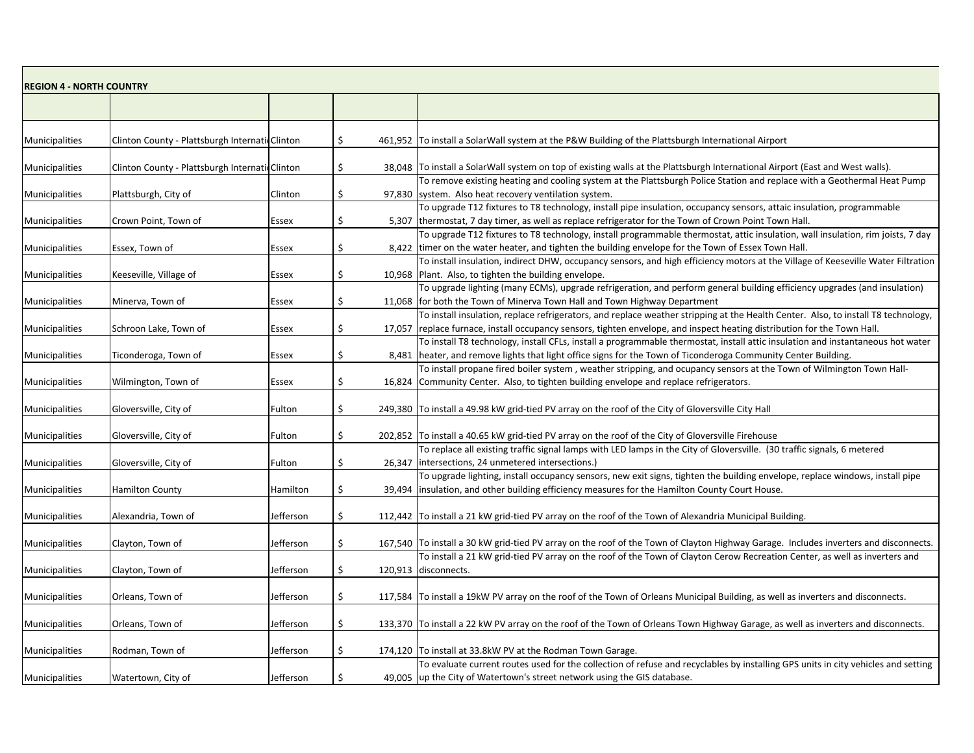| <b>REGION 4 - NORTH COUNTRY</b> |                                                |           |              |        |                                                                                                                                                                                                                                |  |  |  |
|---------------------------------|------------------------------------------------|-----------|--------------|--------|--------------------------------------------------------------------------------------------------------------------------------------------------------------------------------------------------------------------------------|--|--|--|
|                                 |                                                |           |              |        |                                                                                                                                                                                                                                |  |  |  |
|                                 |                                                |           |              |        |                                                                                                                                                                                                                                |  |  |  |
| Municipalities                  | Clinton County - Plattsburgh Internati Clinton |           | S            |        | 461,952   To install a SolarWall system at the P&W Building of the Plattsburgh International Airport                                                                                                                           |  |  |  |
| Municipalities                  | Clinton County - Plattsburgh Internati Clinton |           |              |        | 38,048 To install a SolarWall system on top of existing walls at the Plattsburgh International Airport (East and West walls).                                                                                                  |  |  |  |
| Municipalities                  | Plattsburgh, City of                           | Clinton   | \$           |        | To remove existing heating and cooling system at the Plattsburgh Police Station and replace with a Geothermal Heat Pump<br>97,830 system. Also heat recovery ventilation system.                                               |  |  |  |
| Municipalities                  | Crown Point, Town of                           | Essex     |              |        | To upgrade T12 fixtures to T8 technology, install pipe insulation, occupancy sensors, attaic insulation, programmable<br>5,307 thermostat, 7 day timer, as well as replace refrigerator for the Town of Crown Point Town Hall. |  |  |  |
|                                 |                                                |           |              |        | To upgrade T12 fixtures to T8 technology, install programmable thermostat, attic insulation, wall insulation, rim joists, 7 day                                                                                                |  |  |  |
| Municipalities                  | Essex, Town of                                 | Essex     | \$.          |        | 8,422 timer on the water heater, and tighten the building envelope for the Town of Essex Town Hall.                                                                                                                            |  |  |  |
| Municipalities                  | Keeseville, Village of                         | Essex     |              |        | To install insulation, indirect DHW, occupancy sensors, and high efficiency motors at the Village of Keeseville Water Filtration<br>10,968   Plant. Also, to tighten the building envelope.                                    |  |  |  |
|                                 |                                                |           |              |        | To upgrade lighting (many ECMs), upgrade refrigeration, and perform general building efficiency upgrades (and insulation)                                                                                                      |  |  |  |
| Municipalities                  | Minerva, Town of                               | Essex     | S            |        | 11,068   for both the Town of Minerva Town Hall and Town Highway Department<br>To install insulation, replace refrigerators, and replace weather stripping at the Health Center. Also, to install T8 technology,               |  |  |  |
| Municipalities                  | Schroon Lake, Town of                          | Essex     |              |        | 17,057   replace furnace, install occupancy sensors, tighten envelope, and inspect heating distribution for the Town Hall.                                                                                                     |  |  |  |
|                                 |                                                |           |              |        | To install T8 technology, install CFLs, install a programmable thermostat, install attic insulation and instantaneous hot water                                                                                                |  |  |  |
| Municipalities                  | Ticonderoga, Town of                           | Essex     |              |        | 8,481   heater, and remove lights that light office signs for the Town of Ticonderoga Community Center Building.                                                                                                               |  |  |  |
|                                 |                                                |           |              |        | To install propane fired boiler system, weather stripping, and ocupancy sensors at the Town of Wilmington Town Hall-                                                                                                           |  |  |  |
| Municipalities                  | Wilmington, Town of                            | Essex     |              |        | 16,824 Community Center. Also, to tighten building envelope and replace refrigerators.                                                                                                                                         |  |  |  |
|                                 |                                                |           |              |        |                                                                                                                                                                                                                                |  |  |  |
| Municipalities                  | Gloversville, City of                          | Fulton    | \$           |        | 249,380  To install a 49.98 kW grid-tied PV array on the roof of the City of Gloversville City Hall                                                                                                                            |  |  |  |
| Municipalities                  | Gloversville, City of                          | Fulton    | \$           |        | 202,852 To install a 40.65 kW grid-tied PV array on the roof of the City of Gloversville Firehouse                                                                                                                             |  |  |  |
|                                 |                                                |           |              |        | To replace all existing traffic signal lamps with LED lamps in the City of Gloversville. (30 traffic signals, 6 metered                                                                                                        |  |  |  |
| Municipalities                  | Gloversville, City of                          | Fulton    |              |        | 26,347   intersections, 24 unmetered intersections.)                                                                                                                                                                           |  |  |  |
| Municipalities                  | <b>Hamilton County</b>                         | Hamilton  | \$           | 39,494 | To upgrade lighting, install occupancy sensors, new exit signs, tighten the building envelope, replace windows, install pipe<br>insulation, and other building efficiency measures for the Hamilton County Court House.        |  |  |  |
| Municipalities                  | Alexandria, Town of                            | Jefferson | <sub>S</sub> |        | 112,442 To install a 21 kW grid-tied PV array on the roof of the Town of Alexandria Municipal Building.                                                                                                                        |  |  |  |
| Municipalities                  | Clayton, Town of                               | Jefferson | \$           |        | 167,540   To install a 30 kW grid-tied PV array on the roof of the Town of Clayton Highway Garage. Includes inverters and disconnects.                                                                                         |  |  |  |
| <b>Municipalities</b>           | Clayton, Town of                               | Jefferson | S            |        | To install a 21 kW grid-tied PV array on the roof of the Town of Clayton Cerow Recreation Center, as well as inverters and<br>120,913 disconnects.                                                                             |  |  |  |
| Municipalities                  | Orleans, Town of                               | Jefferson | \$           |        | 117,584 To install a 19kW PV array on the roof of the Town of Orleans Municipal Building, as well as inverters and disconnects.                                                                                                |  |  |  |
|                                 |                                                |           |              |        |                                                                                                                                                                                                                                |  |  |  |
| Municipalities                  | Orleans, Town of                               | Jefferson | \$           |        | 133,370 To install a 22 kW PV array on the roof of the Town of Orleans Town Highway Garage, as well as inverters and disconnects.                                                                                              |  |  |  |
| Municipalities                  | Rodman, Town of                                | Jefferson | S.           |        | 174,120   To install at 33.8kW PV at the Rodman Town Garage.                                                                                                                                                                   |  |  |  |
|                                 |                                                |           |              |        | To evaluate current routes used for the collection of refuse and recyclables by installing GPS units in city vehicles and setting                                                                                              |  |  |  |
| <b>Municipalities</b>           | Watertown, City of                             | Jefferson |              |        | 49,005 up the City of Watertown's street network using the GIS database.                                                                                                                                                       |  |  |  |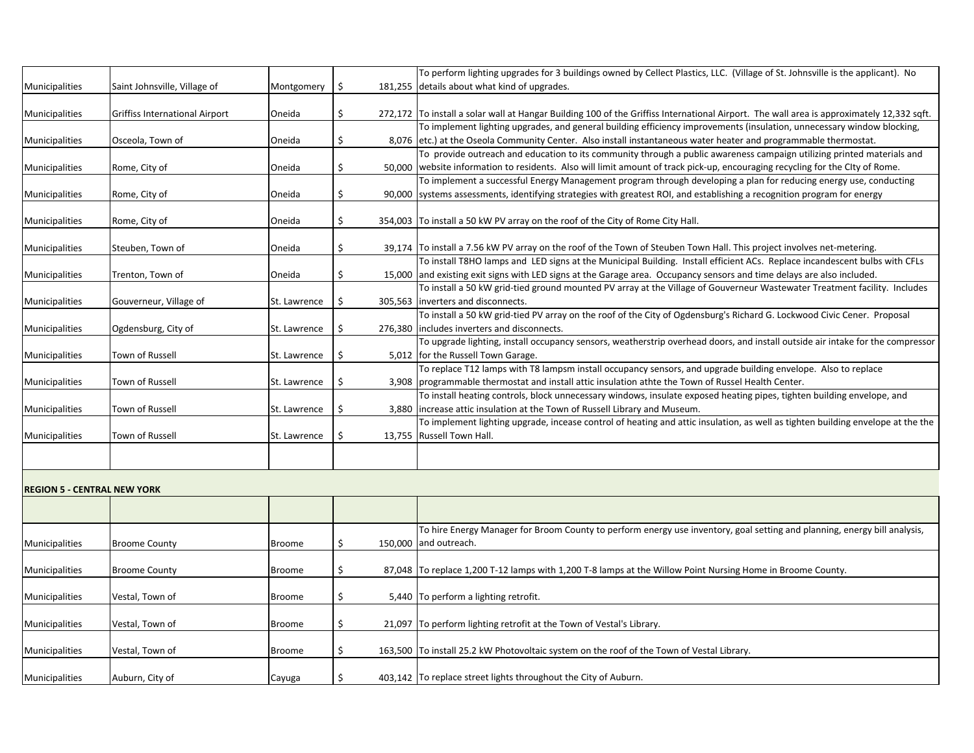|                                    |                                       |               |               | To perform lighting upgrades for 3 buildings owned by Cellect Plastics, LLC. (Village of St. Johnsville is the applicant). No             |
|------------------------------------|---------------------------------------|---------------|---------------|-------------------------------------------------------------------------------------------------------------------------------------------|
| Municipalities                     | Saint Johnsville, Village of          | Montgomery    | \$            | 181,255 details about what kind of upgrades.                                                                                              |
|                                    |                                       |               |               |                                                                                                                                           |
| Municipalities                     | <b>Griffiss International Airport</b> | Oneida        | $\frac{1}{2}$ | 272,172 To install a solar wall at Hangar Building 100 of the Griffiss International Airport. The wall area is approximately 12,332 sqft. |
|                                    |                                       |               |               | To implement lighting upgrades, and general building efficiency improvements (insulation, unnecessary window blocking,                    |
| Municipalities                     | Osceola, Town of                      | Oneida        | \$.           | 8,076 etc.) at the Oseola Community Center. Also install instantaneous water heater and programmable thermostat.                          |
|                                    |                                       |               |               | To provide outreach and education to its community through a public awareness campaign utilizing printed materials and                    |
| Municipalities                     | Rome, City of                         | Oneida        | \$            | 50,000 website information to residents. Also will limit amount of track pick-up, encouraging recycling for the City of Rome.             |
|                                    |                                       |               |               | To implement a successful Energy Management program through developing a plan for reducing energy use, conducting                         |
| Municipalities                     | Rome, City of                         | Oneida        | \$            | 90,000 systems assessments, identifying strategies with greatest ROI, and establishing a recognition program for energy                   |
|                                    |                                       |               |               |                                                                                                                                           |
| Municipalities                     | Rome, City of                         | Oneida        | \$            | 354,003 To install a 50 kW PV array on the roof of the City of Rome City Hall.                                                            |
|                                    |                                       |               |               |                                                                                                                                           |
| Municipalities                     | Steuben, Town of                      | Oneida        | \$            | 39,174 To install a 7.56 kW PV array on the roof of the Town of Steuben Town Hall. This project involves net-metering.                    |
|                                    |                                       |               |               | To install T8HO lamps and LED signs at the Municipal Building. Install efficient ACs. Replace incandescent bulbs with CFLs                |
| Municipalities                     | Trenton, Town of                      | Oneida        | \$            | 15,000 and existing exit signs with LED signs at the Garage area. Occupancy sensors and time delays are also included.                    |
|                                    |                                       |               |               | To install a 50 kW grid-tied ground mounted PV array at the Village of Gouverneur Wastewater Treatment facility. Includes                 |
| Municipalities                     | Gouverneur, Village of                | St. Lawrence  | \$            | 305,563   inverters and disconnects.                                                                                                      |
|                                    |                                       |               |               | To install a 50 kW grid-tied PV array on the roof of the City of Ogdensburg's Richard G. Lockwood Civic Cener. Proposal                   |
| Municipalities                     | Ogdensburg, City of                   | St. Lawrence  | -\$           | 276,380 lincludes inverters and disconnects.                                                                                              |
|                                    |                                       |               |               | To upgrade lighting, install occupancy sensors, weatherstrip overhead doors, and install outside air intake for the compressor            |
| Municipalities                     | Town of Russell                       | St. Lawrence  | \$            | 5,012 for the Russell Town Garage.                                                                                                        |
|                                    |                                       |               |               | To replace T12 lamps with T8 lampsm install occupancy sensors, and upgrade building envelope. Also to replace                             |
| Municipalities                     | Town of Russell                       | St. Lawrence  | -Ş            | 3,908 programmable thermostat and install attic insulation athte the Town of Russel Health Center.                                        |
|                                    |                                       |               |               | To install heating controls, block unnecessary windows, insulate exposed heating pipes, tighten building envelope, and                    |
| Municipalities                     | Town of Russell                       | St. Lawrence  | \$.           | 3,880 lincrease attic insulation at the Town of Russell Library and Museum.                                                               |
|                                    |                                       |               |               | To implement lighting upgrade, incease control of heating and attic insulation, as well as tighten building envelope at the the           |
| Municipalities                     | Town of Russell                       | St. Lawrence  | \$            | 13,755 Russell Town Hall.                                                                                                                 |
|                                    |                                       |               |               |                                                                                                                                           |
|                                    |                                       |               |               |                                                                                                                                           |
| <b>REGION 5 - CENTRAL NEW YORK</b> |                                       |               |               |                                                                                                                                           |
|                                    |                                       |               |               |                                                                                                                                           |
|                                    |                                       |               |               |                                                                                                                                           |
|                                    |                                       |               |               | To hire Energy Manager for Broom County to perform energy use inventory, goal setting and planning, energy bill analysis,                 |
| Municipalities                     | <b>Broome County</b>                  | <b>Broome</b> | \$            | 150,000 and outreach.                                                                                                                     |
|                                    |                                       |               |               |                                                                                                                                           |
| Municipalities                     | <b>Broome County</b>                  | <b>Broome</b> | $\frac{1}{2}$ | 87,048 To replace 1,200 T-12 lamps with 1,200 T-8 lamps at the Willow Point Nursing Home in Broome County.                                |
|                                    |                                       |               |               |                                                                                                                                           |
| Municipalities                     | Vestal, Town of                       | <b>Broome</b> | \$            | 5,440 To perform a lighting retrofit.                                                                                                     |
|                                    |                                       |               |               |                                                                                                                                           |
| Municipalities                     | Vestal, Town of                       | Broome        | \$            | 21,097 To perform lighting retrofit at the Town of Vestal's Library.                                                                      |
|                                    |                                       |               |               |                                                                                                                                           |
| Municipalities                     | Vestal, Town of                       | <b>Broome</b> | \$            | 163,500 To install 25.2 kW Photovoltaic system on the roof of the Town of Vestal Library.                                                 |
|                                    |                                       |               |               |                                                                                                                                           |
| Municipalities                     | Auburn, City of                       | Cayuga        | \$            | 403,142 To replace street lights throughout the City of Auburn.                                                                           |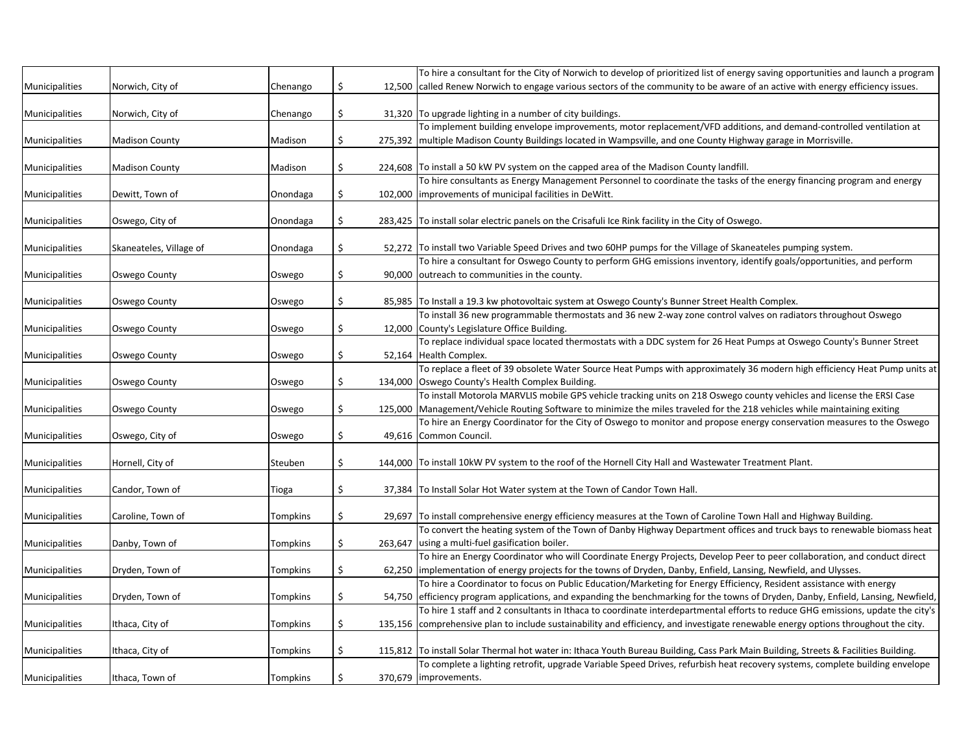|                |                         |                 |     | To hire a consultant for the City of Norwich to develop of prioritized list of energy saving opportunities and launch a program                                                                                                                                     |
|----------------|-------------------------|-----------------|-----|---------------------------------------------------------------------------------------------------------------------------------------------------------------------------------------------------------------------------------------------------------------------|
| Municipalities | Norwich, City of        | Chenango        | S   | 12,500 called Renew Norwich to engage various sectors of the community to be aware of an active with energy efficiency issues.                                                                                                                                      |
|                |                         |                 |     |                                                                                                                                                                                                                                                                     |
| Municipalities | Norwich, City of        | Chenango        | \$  | 31,320 To upgrade lighting in a number of city buildings.                                                                                                                                                                                                           |
|                |                         |                 |     | To implement building envelope improvements, motor replacement/VFD additions, and demand-controlled ventilation at                                                                                                                                                  |
| Municipalities | <b>Madison County</b>   | Madison         | \$. | 275,392 multiple Madison County Buildings located in Wampsville, and one County Highway garage in Morrisville.                                                                                                                                                      |
|                |                         |                 |     |                                                                                                                                                                                                                                                                     |
| Municipalities | <b>Madison County</b>   | Madison         | \$  | 224,608 To install a 50 kW PV system on the capped area of the Madison County landfill.                                                                                                                                                                             |
|                |                         |                 |     | To hire consultants as Energy Management Personnel to coordinate the tasks of the energy financing program and energy                                                                                                                                               |
| Municipalities | Dewitt, Town of         | Onondaga        | \$  | 102,000 limprovements of municipal facilities in DeWitt.                                                                                                                                                                                                            |
|                |                         |                 |     |                                                                                                                                                                                                                                                                     |
| Municipalities | Oswego, City of         | Onondaga        | S.  | 283,425 To install solar electric panels on the Crisafuli Ice Rink facility in the City of Oswego.                                                                                                                                                                  |
|                |                         |                 |     |                                                                                                                                                                                                                                                                     |
| Municipalities | Skaneateles, Village of | Onondaga        | \$  | 52,272 To install two Variable Speed Drives and two 60HP pumps for the Village of Skaneateles pumping system.<br>To hire a consultant for Oswego County to perform GHG emissions inventory, identify goals/opportunities, and perform                               |
|                |                         |                 | Ś   | 90,000 outreach to communities in the county.                                                                                                                                                                                                                       |
| Municipalities | <b>Oswego County</b>    | Oswego          |     |                                                                                                                                                                                                                                                                     |
| Municipalities | <b>Oswego County</b>    | Oswego          | \$  | 85,985 To Install a 19.3 kw photovoltaic system at Oswego County's Bunner Street Health Complex.                                                                                                                                                                    |
|                |                         |                 |     | To install 36 new programmable thermostats and 36 new 2-way zone control valves on radiators throughout Oswego                                                                                                                                                      |
| Municipalities | <b>Oswego County</b>    | Oswego          | \$. | 12,000 County's Legislature Office Building.                                                                                                                                                                                                                        |
|                |                         |                 |     | To replace individual space located thermostats with a DDC system for 26 Heat Pumps at Oswego County's Bunner Street                                                                                                                                                |
| Municipalities | <b>Oswego County</b>    | Oswego          | \$. | 52,164 Health Complex.                                                                                                                                                                                                                                              |
|                |                         |                 |     | To replace a fleet of 39 obsolete Water Source Heat Pumps with approximately 36 modern high efficiency Heat Pump units at                                                                                                                                           |
| Municipalities | <b>Oswego County</b>    | Oswego          | S   | 134,000 Oswego County's Health Complex Building.                                                                                                                                                                                                                    |
|                |                         |                 |     | To install Motorola MARVLIS mobile GPS vehicle tracking units on 218 Oswego county vehicles and license the ERSI Case                                                                                                                                               |
| Municipalities | Oswego County           | Oswego          | S   | 125,000   Management/Vehicle Routing Software to minimize the miles traveled for the 218 vehicles while maintaining exiting                                                                                                                                         |
|                |                         |                 |     | To hire an Energy Coordinator for the City of Oswego to monitor and propose energy conservation measures to the Oswego                                                                                                                                              |
| Municipalities | Oswego, City of         | Oswego          | \$  | 49,616 Common Council.                                                                                                                                                                                                                                              |
|                |                         |                 |     |                                                                                                                                                                                                                                                                     |
| Municipalities | Hornell, City of        | Steuben         |     | 144,000 To install 10kW PV system to the roof of the Hornell City Hall and Wastewater Treatment Plant.                                                                                                                                                              |
|                |                         |                 |     |                                                                                                                                                                                                                                                                     |
| Municipalities | Candor, Town of         | <b>Tioga</b>    | \$  | 37,384 To Install Solar Hot Water system at the Town of Candor Town Hall.                                                                                                                                                                                           |
|                |                         |                 |     |                                                                                                                                                                                                                                                                     |
| Municipalities | Caroline, Town of       | <b>Tompkins</b> | \$  | 29,697 To install comprehensive energy efficiency measures at the Town of Caroline Town Hall and Highway Building.                                                                                                                                                  |
|                |                         |                 |     | To convert the heating system of the Town of Danby Highway Department offices and truck bays to renewable biomass heat                                                                                                                                              |
| Municipalities | Danby, Town of          | Tompkins        |     | 263,647 using a multi-fuel gasification boiler.                                                                                                                                                                                                                     |
|                |                         |                 |     | To hire an Energy Coordinator who will Coordinate Energy Projects, Develop Peer to peer collaboration, and conduct direct                                                                                                                                           |
| Municipalities | Dryden, Town of         | Tompkins        |     | 62,250 limplementation of energy projects for the towns of Dryden, Danby, Enfield, Lansing, Newfield, and Ulysses.                                                                                                                                                  |
|                |                         |                 |     | To hire a Coordinator to focus on Public Education/Marketing for Energy Efficiency, Resident assistance with energy                                                                                                                                                 |
| Municipalities | Dryden, Town of         | <b>Tompkins</b> |     | 54,750 efficiency program applications, and expanding the benchmarking for the towns of Dryden, Danby, Enfield, Lansing, Newfield,                                                                                                                                  |
|                |                         |                 |     | To hire 1 staff and 2 consultants in Ithaca to coordinate interdepartmental efforts to reduce GHG emissions, update the city's                                                                                                                                      |
| Municipalities | Ithaca, City of         | <b>Tompkins</b> |     | 135,156 comprehensive plan to include sustainability and efficiency, and investigate renewable energy options throughout the city.                                                                                                                                  |
|                |                         |                 |     |                                                                                                                                                                                                                                                                     |
| Municipalities | Ithaca, City of         | Tompkins        |     | 115,812 To install Solar Thermal hot water in: Ithaca Youth Bureau Building, Cass Park Main Building, Streets & Facilities Building.<br>To complete a lighting retrofit, upgrade Variable Speed Drives, refurbish heat recovery systems, complete building envelope |
| Municipalities |                         |                 |     |                                                                                                                                                                                                                                                                     |
|                | Ithaca, Town of         | <b>Tompkins</b> |     | 370,679   improvements.                                                                                                                                                                                                                                             |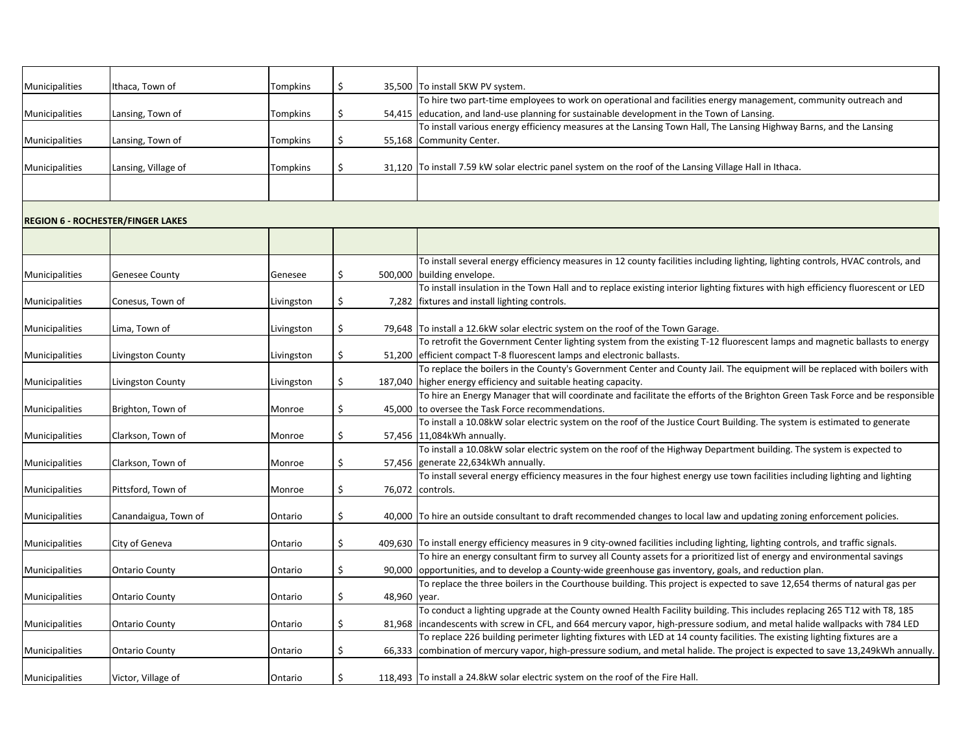| Municipalities | Ithaca, Town of                          | <b>Tompkins</b> |              |              | 35,500 To install 5KW PV system.                                                                                                                                                                                                                               |
|----------------|------------------------------------------|-----------------|--------------|--------------|----------------------------------------------------------------------------------------------------------------------------------------------------------------------------------------------------------------------------------------------------------------|
|                |                                          |                 |              |              | To hire two part-time employees to work on operational and facilities energy management, community outreach and                                                                                                                                                |
| Municipalities | Lansing, Town of                         | Tompkins        | <sub>S</sub> |              | 54,415 education, and land-use planning for sustainable development in the Town of Lansing.                                                                                                                                                                    |
|                |                                          |                 |              |              | To install various energy efficiency measures at the Lansing Town Hall, The Lansing Highway Barns, and the Lansing                                                                                                                                             |
| Municipalities | Lansing, Town of                         | Tompkins        |              |              | 55,168 Community Center.                                                                                                                                                                                                                                       |
|                |                                          |                 |              |              |                                                                                                                                                                                                                                                                |
| Municipalities | Lansing, Village of                      | <b>Tompkins</b> |              |              | 31,120 To install 7.59 kW solar electric panel system on the roof of the Lansing Village Hall in Ithaca.                                                                                                                                                       |
|                |                                          |                 |              |              |                                                                                                                                                                                                                                                                |
|                |                                          |                 |              |              |                                                                                                                                                                                                                                                                |
|                |                                          |                 |              |              |                                                                                                                                                                                                                                                                |
|                | <b>REGION 6 - ROCHESTER/FINGER LAKES</b> |                 |              |              |                                                                                                                                                                                                                                                                |
|                |                                          |                 |              |              |                                                                                                                                                                                                                                                                |
|                |                                          |                 |              |              |                                                                                                                                                                                                                                                                |
|                |                                          |                 |              |              | To install several energy efficiency measures in 12 county facilities including lighting, lighting controls, HVAC controls, and                                                                                                                                |
| Municipalities | <b>Genesee County</b>                    | Genesee         |              |              | 500,000 building envelope.                                                                                                                                                                                                                                     |
|                |                                          |                 |              |              | To install insulation in the Town Hall and to replace existing interior lighting fixtures with high efficiency fluorescent or LED                                                                                                                              |
| Municipalities | Conesus, Town of                         | Livingston      |              |              | 7,282   fixtures and install lighting controls.                                                                                                                                                                                                                |
|                |                                          |                 |              |              |                                                                                                                                                                                                                                                                |
| Municipalities | Lima, Town of                            | Livingston      |              |              | 79,648 To install a 12.6kW solar electric system on the roof of the Town Garage.                                                                                                                                                                               |
|                |                                          |                 |              |              | To retrofit the Government Center lighting system from the existing T-12 fluorescent lamps and magnetic ballasts to energy                                                                                                                                     |
| Municipalities | Livingston County                        | Livingston      | \$           |              | 51,200 efficient compact T-8 fluorescent lamps and electronic ballasts.                                                                                                                                                                                        |
|                |                                          |                 |              |              | To replace the boilers in the County's Government Center and County Jail. The equipment will be replaced with boilers with                                                                                                                                     |
| Municipalities | Livingston County                        | Livingston      | \$.          |              | 187,040 higher energy efficiency and suitable heating capacity.                                                                                                                                                                                                |
|                |                                          |                 |              |              | To hire an Energy Manager that will coordinate and facilitate the efforts of the Brighton Green Task Force and be responsible                                                                                                                                  |
| Municipalities | Brighton, Town of                        | Monroe          |              |              | 45,000 to oversee the Task Force recommendations.                                                                                                                                                                                                              |
|                |                                          |                 |              |              | To install a 10.08kW solar electric system on the roof of the Justice Court Building. The system is estimated to generate                                                                                                                                      |
| Municipalities | Clarkson, Town of                        | Monroe          |              |              | 57,456 11,084kWh annually.                                                                                                                                                                                                                                     |
|                |                                          |                 |              |              | To install a 10.08kW solar electric system on the roof of the Highway Department building. The system is expected to                                                                                                                                           |
| Municipalities | Clarkson, Town of                        | Monroe          |              |              | 57,456 generate 22,634kWh annually.                                                                                                                                                                                                                            |
|                |                                          |                 |              |              | To install several energy efficiency measures in the four highest energy use town facilities including lighting and lighting                                                                                                                                   |
| Municipalities | Pittsford, Town of                       | Monroe          | \$           |              | 76,072 controls.                                                                                                                                                                                                                                               |
|                |                                          |                 |              |              |                                                                                                                                                                                                                                                                |
| Municipalities | Canandaigua, Town of                     | Ontario         | \$           |              | 40,000 To hire an outside consultant to draft recommended changes to local law and updating zoning enforcement policies.                                                                                                                                       |
|                |                                          |                 |              |              |                                                                                                                                                                                                                                                                |
| Municipalities | City of Geneva                           | Ontario         | \$           |              | 409,630 To install energy efficiency measures in 9 city-owned facilities including lighting, lighting controls, and traffic signals.                                                                                                                           |
|                |                                          |                 |              |              | To hire an energy consultant firm to survey all County assets for a prioritized list of energy and environmental savings                                                                                                                                       |
| Municipalities | <b>Ontario County</b>                    | Ontario         | \$           |              | 90,000 opportunities, and to develop a County-wide greenhouse gas inventory, goals, and reduction plan.                                                                                                                                                        |
|                |                                          |                 |              |              | To replace the three boilers in the Courthouse building. This project is expected to save 12,654 therms of natural gas per                                                                                                                                     |
| Municipalities | <b>Ontario County</b>                    | Ontario         |              | 48,960 year. |                                                                                                                                                                                                                                                                |
|                |                                          |                 |              |              | To conduct a lighting upgrade at the County owned Health Facility building. This includes replacing 265 T12 with T8, 185                                                                                                                                       |
| Municipalities | <b>Ontario County</b>                    | Ontario         |              |              | 81,968 lincandescents with screw in CFL, and 664 mercury vapor, high-pressure sodium, and metal halide wallpacks with 784 LED                                                                                                                                  |
|                |                                          |                 |              |              | To replace 226 building perimeter lighting fixtures with LED at 14 county facilities. The existing lighting fixtures are a<br>66,333 combination of mercury vapor, high-pressure sodium, and metal halide. The project is expected to save 13,249kWh annually. |
| Municipalities | <b>Ontario County</b>                    | Ontario         | \$           |              |                                                                                                                                                                                                                                                                |
|                |                                          |                 |              |              | 118,493 To install a 24.8kW solar electric system on the roof of the Fire Hall.                                                                                                                                                                                |
| Municipalities | Victor, Village of                       | Ontario         |              |              |                                                                                                                                                                                                                                                                |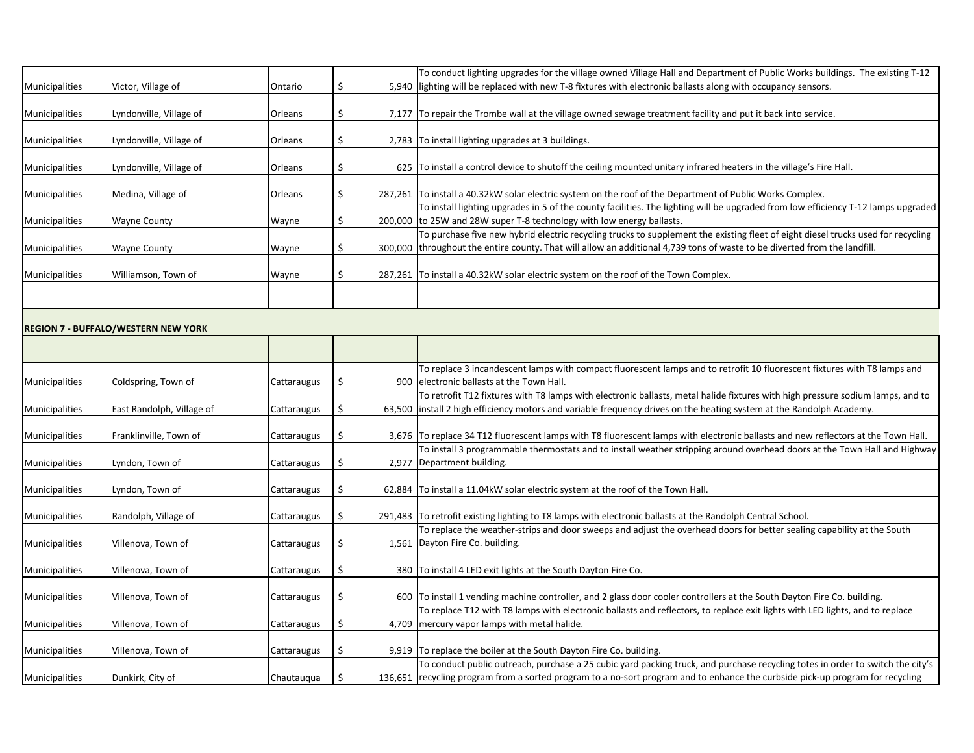|                       |                         |                |  | To conduct lighting upgrades for the village owned Village Hall and Department of Public Works buildings. The existing T-12       |
|-----------------------|-------------------------|----------------|--|-----------------------------------------------------------------------------------------------------------------------------------|
| <b>Municipalities</b> | Victor, Village of      | Ontario        |  | 5,940 liighting will be replaced with new T-8 fixtures with electronic ballasts along with occupancy sensors.                     |
|                       |                         |                |  |                                                                                                                                   |
| <b>Municipalities</b> | Lyndonville, Village of | <b>Orleans</b> |  | 7,177 To repair the Trombe wall at the village owned sewage treatment facility and put it back into service.                      |
|                       |                         |                |  |                                                                                                                                   |
| <b>Municipalities</b> | Lyndonville, Village of | Orleans        |  | 2,783 To install lighting upgrades at 3 buildings.                                                                                |
| Municipalities        | Lyndonville, Village of | Orleans        |  | 625 To install a control device to shutoff the ceiling mounted unitary infrared heaters in the village's Fire Hall.               |
|                       |                         |                |  |                                                                                                                                   |
| Municipalities        | Medina, Village of      | <b>Orleans</b> |  | 287,261   To install a 40.32kW solar electric system on the roof of the Department of Public Works Complex.                       |
|                       |                         |                |  | To install lighting upgrades in 5 of the county facilities. The lighting will be upgraded from low efficiency T-12 lamps upgraded |
| <b>Municipalities</b> | <b>Wayne County</b>     | Wayne          |  | 200,000 to 25W and 28W super T-8 technology with low energy ballasts.                                                             |
|                       |                         |                |  | To purchase five new hybrid electric recycling trucks to supplement the existing fleet of eight diesel trucks used for recycling  |
| <b>Municipalities</b> | <b>Wayne County</b>     | Wayne          |  | 300,000 throughout the entire county. That will allow an additional 4,739 tons of waste to be diverted from the landfill.         |
|                       |                         |                |  |                                                                                                                                   |
| <b>Municipalities</b> | Williamson, Town of     | Wayne          |  | 287,261 To install a 40.32kW solar electric system on the roof of the Town Complex.                                               |
|                       |                         |                |  |                                                                                                                                   |
|                       |                         |                |  |                                                                                                                                   |

## **REGION 7 - BUFFALO/WESTERN NEW YORK**

|                |                           |                    |              | To replace 3 incandescent lamps with compact fluorescent lamps and to retrofit 10 fluorescent fixtures with T8 lamps and          |
|----------------|---------------------------|--------------------|--------------|-----------------------------------------------------------------------------------------------------------------------------------|
| Municipalities | Coldspring, Town of       | Cattaraugus        |              | 900 electronic ballasts at the Town Hall.                                                                                         |
|                |                           |                    |              | To retrofit T12 fixtures with T8 lamps with electronic ballasts, metal halide fixtures with high pressure sodium lamps, and to    |
| Municipalities | East Randolph, Village of | Cattaraugus        | S            | 63,500 linstall 2 high efficiency motors and variable frequency drives on the heating system at the Randolph Academy.             |
| Municipalities | Franklinville, Town of    | <b>Cattaraugus</b> | S.           | 3,676 To replace 34 T12 fluorescent lamps with T8 fluorescent lamps with electronic ballasts and new reflectors at the Town Hall. |
|                |                           |                    |              | To install 3 programmable thermostats and to install weather stripping around overhead doors at the Town Hall and Highway         |
| Municipalities | Lyndon, Town of           | Cattaraugus        | -S           | 2,977   Department building.                                                                                                      |
|                |                           |                    |              |                                                                                                                                   |
| Municipalities | Lyndon, Town of           | Cattaraugus        |              | 62,884 To install a 11.04kW solar electric system at the roof of the Town Hall.                                                   |
| Municipalities | Randolph, Village of      | <b>Cattaraugus</b> | \$           | 291,483 To retrofit existing lighting to T8 lamps with electronic ballasts at the Randolph Central School.                        |
|                |                           |                    |              | To replace the weather-strips and door sweeps and adjust the overhead doors for better sealing capability at the South            |
| Municipalities | Villenova, Town of        | Cattaraugus        |              | 1,561   Dayton Fire Co. building.                                                                                                 |
| Municipalities | Villenova, Town of        | Cattaraugus        | <sub>S</sub> | 380   To install 4 LED exit lights at the South Dayton Fire Co.                                                                   |
| Municipalities | Villenova, Town of        | Cattaraugus        |              | 600 To install 1 vending machine controller, and 2 glass door cooler controllers at the South Dayton Fire Co. building.           |
|                |                           |                    |              | To replace T12 with T8 lamps with electronic ballasts and reflectors, to replace exit lights with LED lights, and to replace      |
| Municipalities | Villenova, Town of        | <b>Cattaraugus</b> | -Ş           | 4,709   mercury vapor lamps with metal halide.                                                                                    |
| Municipalities | Villenova, Town of        | Cattaraugus        | S.           | 9,919 To replace the boiler at the South Dayton Fire Co. building.                                                                |
|                |                           |                    |              | To conduct public outreach, purchase a 25 cubic yard packing truck, and purchase recycling totes in order to switch the city's    |
| Municipalities | Dunkirk, City of          | Chautauqua         |              | 136,651 recycling program from a sorted program to a no-sort program and to enhance the curbside pick-up program for recycling    |